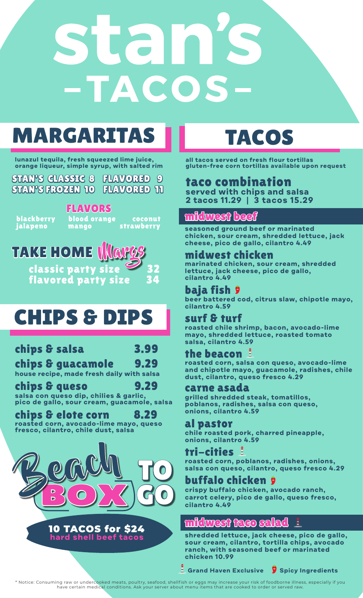# 152 -TACOS

# MARGARITAS II TACOS

**lunazul tequila, fresh squeezed lime juice, orange liqueur, simple syrup, with salted rim** 

STAN'S CLASSIC 8 FLAVORED 9 STAN'S FROZEN 10 FLAVORED 11

 blackberry blood orange coconut FLAVORS

jalapeno mango strawberry



## CHIPS & DIPS

## chips & salsa 3.99

#### chips & guacamole 9.29 **house recipe, made fresh daily with salsa**

chips & queso **salsa con queso dip, chilies & garlic, pico de gallo, sour cream, guacamole, salsa**

chips & elote corn 8.29 **roasted corn, avocado-lime mayo, queso fresco, cilantro, chile dust, salsa**



#### 10 TACOS for \$24 **hard shell beef tacos**

**all tacos served on fresh flour tortillas gluten-free corn tortillas available upon request**

## taco combination

**served with chips and salsa 2 tacos 11.29 | 3 tacos 15.29**

### midwest beef

**seasoned ground beef or marinated chicken, sour cream, shredded lettuce, jack cheese, pico de gallo, cilantro 4.49**

#### midwest chicken

**marinated chicken, sour cream, shredded lettuce, jack cheese, pico de gallo, cilantro 4.49**

#### baja fish

**beer battered cod, citrus slaw, chipotle mayo, cilantro 4.59**

#### surf & turf

**roasted chile shrimp, bacon, avocado-lime mayo, shredded lettuce, roasted tomato salsa, cilantro 4.59** 

#### the beacon

**roasted corn, salsa con queso, avocado-lime and chipotle mayo, guacamole, radishes, chile dust, cilantro, queso fresco 4.29**

#### carne asada

**grilled shredded steak, tomatillos, poblanos, radishes, salsa con queso, onions, cilantro 4.59**

#### al pastor

**chile roasted pork, charred pineapple, onions, cilantro 4.59**

#### tri-cities

**roasted corn, poblanos, radishes, onions, salsa con queso, cilantro, queso fresco 4.29**

#### buffalo chicken

**crispy buffalo chicken, avocado ranch, carrot celery, pico de gallo, queso fresco, cilantro 4.49**

#### idwest taco sala

**shredded lettuce, jack cheese, pico de gallo, sour cream, cilantro, tortilla chips, avocado ranch, with seasoned beef or marinated chicken 10.99**

**Grand Haven Exclusive Spicy Ingredients**

\* Notice: Consuming raw or undercooked meats, poultry, seafood, shellf ish or eggs may increase your risk of foodborne illness, especially if you have certain medical conditions. Ask your server about menu items that are cooked to order or served raw.